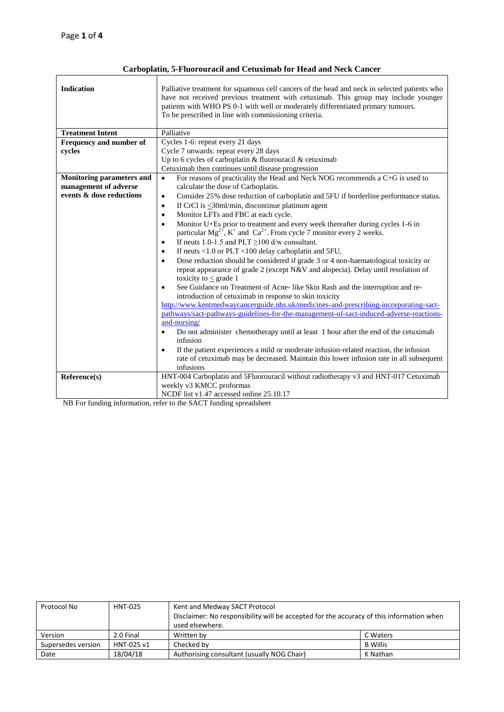# **Carboplatin, 5-Fluorouracil and Cetuximab for Head and Neck Cancer**

| <b>Indication</b>                | Palliative treatment for squamous cell cancers of the head and neck in selected patients who<br>have not received previous treatment with cetuximab. This group may include younger<br>patients with WHO PS 0-1 with well or moderately differentiated primary tumours.<br>To be prescribed in line with commissioning criteria. |  |  |  |
|----------------------------------|----------------------------------------------------------------------------------------------------------------------------------------------------------------------------------------------------------------------------------------------------------------------------------------------------------------------------------|--|--|--|
| <b>Treatment Intent</b>          | Palliative                                                                                                                                                                                                                                                                                                                       |  |  |  |
| Frequency and number of          | Cycles 1-6: repeat every 21 days                                                                                                                                                                                                                                                                                                 |  |  |  |
| cycles                           | Cycle 7 onwards: repeat every 28 days                                                                                                                                                                                                                                                                                            |  |  |  |
|                                  | Up to 6 cycles of carboplatin & fluorouracil & cetuximab                                                                                                                                                                                                                                                                         |  |  |  |
|                                  | Cetuximab then continues until disease progression                                                                                                                                                                                                                                                                               |  |  |  |
| <b>Monitoring parameters and</b> | For reasons of practicality the Head and Neck NOG recommends a C+G is used to<br>$\bullet$                                                                                                                                                                                                                                       |  |  |  |
| management of adverse            | calculate the dose of Carboplatin.                                                                                                                                                                                                                                                                                               |  |  |  |
| events & dose reductions         | Consider 25% dose reduction of carboplatin and 5FU if borderline performance status.<br>$\bullet$                                                                                                                                                                                                                                |  |  |  |
|                                  | If CrCl is $\leq$ 30ml/min, discontinue platinum agent<br>$\bullet$                                                                                                                                                                                                                                                              |  |  |  |
|                                  | Monitor LFTs and FBC at each cycle.<br>$\bullet$                                                                                                                                                                                                                                                                                 |  |  |  |
|                                  | Monitor U+Es prior to treatment and every week thereafter during cycles 1-6 in<br>$\bullet$                                                                                                                                                                                                                                      |  |  |  |
|                                  | particular $Mg^{2+}$ , K <sup>+</sup> and Ca <sup>2+</sup> . From cycle 7 monitor every 2 weeks.                                                                                                                                                                                                                                 |  |  |  |
|                                  | If neuts 1.0-1.5 and PLT $\geq$ 100 d/w consultant.<br>$\bullet$                                                                                                                                                                                                                                                                 |  |  |  |
|                                  | If neuts <1.0 or PLT <100 delay carboplatin and 5FU.<br>$\bullet$                                                                                                                                                                                                                                                                |  |  |  |
|                                  | Dose reduction should be considered if grade 3 or 4 non-haematological toxicity or<br>$\bullet$                                                                                                                                                                                                                                  |  |  |  |
|                                  | repeat appearance of grade 2 (except N&V and alopecia). Delay until resolution of                                                                                                                                                                                                                                                |  |  |  |
|                                  | toxicity to $\leq$ grade 1                                                                                                                                                                                                                                                                                                       |  |  |  |
|                                  | See Guidance on Treatment of Acne- like Skin Rash and the interruption and re-<br>$\bullet$                                                                                                                                                                                                                                      |  |  |  |
|                                  | introduction of cetuximab in response to skin toxicity                                                                                                                                                                                                                                                                           |  |  |  |
|                                  | http://www.kentmedwaycancerguide.nhs.uk/medicines-and-prescribing-incorporating-sact-                                                                                                                                                                                                                                            |  |  |  |
|                                  | pathways/sact-pathways-guidelines-for-the-management-of-sact-induced-adverse-reactions-                                                                                                                                                                                                                                          |  |  |  |
|                                  | and-nursing/                                                                                                                                                                                                                                                                                                                     |  |  |  |
|                                  | Do not administer chemotherapy until at least 1 hour after the end of the cetuximab<br>$\bullet$<br>infusion                                                                                                                                                                                                                     |  |  |  |
|                                  |                                                                                                                                                                                                                                                                                                                                  |  |  |  |
|                                  | If the patient experiences a mild or moderate infusion-related reaction, the infusion<br>$\bullet$                                                                                                                                                                                                                               |  |  |  |
|                                  | rate of cetuximab may be decreased. Maintain this lower infusion rate in all subsequent<br>infusions                                                                                                                                                                                                                             |  |  |  |
|                                  |                                                                                                                                                                                                                                                                                                                                  |  |  |  |
| Reference(s)                     | HNT-004 Carboplatin and 5Fluorouracil without radiotherapy v3 and HNT-017 Cetuximab<br>weekly v3 KMCC proformas                                                                                                                                                                                                                  |  |  |  |
|                                  | NCDF list v1.47 accessed online 25.10.17                                                                                                                                                                                                                                                                                         |  |  |  |
| m <sub>2</sub>                   | $c \rightarrow 1$ $0 \pm 0$ $0 \pm 0$<br>$\mathbf{1}$                                                                                                                                                                                                                                                                            |  |  |  |

NB For funding information, refer to the SACT funding spreadsheet

| Protocol No        | <b>HNT-025</b> | Kent and Medway SACT Protocol                                                            |                 |  |
|--------------------|----------------|------------------------------------------------------------------------------------------|-----------------|--|
|                    |                | Disclaimer: No responsibility will be accepted for the accuracy of this information when |                 |  |
|                    |                | used elsewhere.                                                                          |                 |  |
| Version            | 2.0 Final      | Written by                                                                               | C Waters        |  |
| Supersedes version | HNT-025 v1     | Checked by                                                                               | <b>B</b> Willis |  |
| Date               | 18/04/18       | Authorising consultant (usually NOG Chair)                                               | K Nathan        |  |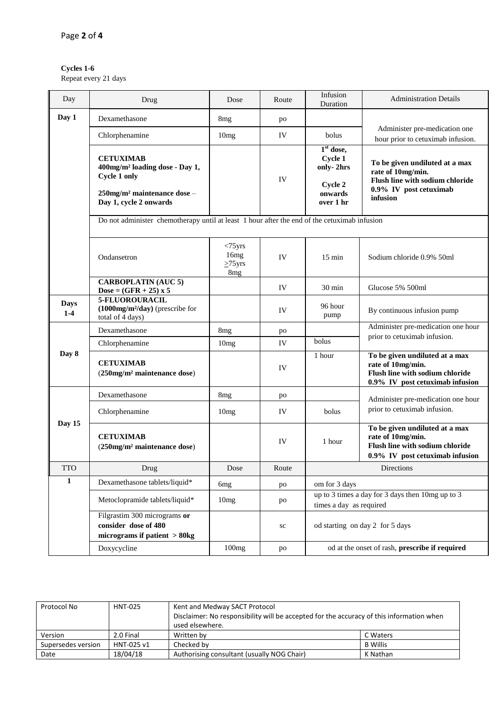## **Cycles 1-6**

Repeat every 21 days

| Day                  | Drug                                                                                                                                                | Dose                                                 | Route | Infusion<br>Duration                                                        | <b>Administration Details</b>                                                                                                |
|----------------------|-----------------------------------------------------------------------------------------------------------------------------------------------------|------------------------------------------------------|-------|-----------------------------------------------------------------------------|------------------------------------------------------------------------------------------------------------------------------|
| Day 1                | Dexamethasone                                                                                                                                       | 8 <sub>mg</sub>                                      | po    |                                                                             |                                                                                                                              |
|                      | Chlorphenamine                                                                                                                                      | 10mg                                                 | IV    | bolus                                                                       | Administer pre-medication one<br>hour prior to cetuximab infusion.                                                           |
|                      | <b>CETUXIMAB</b><br>400mg/m <sup>2</sup> loading dose - Day 1,<br>Cycle 1 only<br>250mg/m <sup>2</sup> maintenance dose -<br>Day 1, cycle 2 onwards |                                                      | IV    | $1st$ dose,<br>Cycle 1<br>only-2hrs<br>Cycle 2<br>onwards<br>over 1 hr      | To be given undiluted at a max<br>rate of 10mg/min.<br>Flush line with sodium chloride<br>0.9% IV post cetuximab<br>infusion |
|                      | Do not administer chemotherapy until at least 1 hour after the end of the cetuximab infusion                                                        |                                                      |       |                                                                             |                                                                                                                              |
|                      | Ondansetron                                                                                                                                         | $<$ 75 $yrs$<br>16mg<br>$>75$ yrs<br>8 <sub>mg</sub> | IV    | $15 \text{ min}$                                                            | Sodium chloride 0.9% 50ml                                                                                                    |
|                      | <b>CARBOPLATIN (AUC 5)</b><br>Dose = $(GFR + 25) \times 5$                                                                                          |                                                      | IV    | 30 min                                                                      | Glucose 5% 500ml                                                                                                             |
| <b>Days</b><br>$1-4$ | 5-FLUOROURACIL<br>$(1000mg/m^2/day)$ (prescribe for<br>total of 4 days)                                                                             |                                                      | IV    | 96 hour<br>pump                                                             | By continuous infusion pump                                                                                                  |
|                      | Dexamethasone                                                                                                                                       | 8 <sub>mg</sub>                                      | po    |                                                                             | Administer pre-medication one hour                                                                                           |
|                      | Chlorphenamine                                                                                                                                      | 10mg                                                 | IV    | bolus                                                                       | prior to cetuximab infusion.                                                                                                 |
| Day 8                | <b>CETUXIMAB</b><br>(250mg/m <sup>2</sup> maintenance dose)                                                                                         |                                                      | IV    | 1 hour                                                                      | To be given undiluted at a max<br>rate of 10mg/min.<br>Flush line with sodium chloride<br>0.9% IV post cetuximab infusion    |
|                      | Dexamethasone                                                                                                                                       | 8 <sub>mg</sub>                                      | po    |                                                                             | Administer pre-medication one hour                                                                                           |
|                      | Chlorphenamine                                                                                                                                      | 10 <sub>mg</sub>                                     | IV    | bolus                                                                       | prior to cetuximab infusion.                                                                                                 |
| Day 15               | <b>CETUXIMAB</b><br>$(250mg/m2$ maintenance dose)                                                                                                   |                                                      | IV    | 1 hour                                                                      | To be given undiluted at a max<br>rate of 10mg/min.<br>Flush line with sodium chloride<br>0.9% IV post cetuximab infusion    |
| <b>TTO</b>           | Drug                                                                                                                                                | Dose                                                 | Route |                                                                             | Directions                                                                                                                   |
| 1                    | Dexamethasone tablets/liquid*                                                                                                                       | 6 <sub>mg</sub>                                      | po    | om for 3 days                                                               |                                                                                                                              |
|                      | Metoclopramide tablets/liquid*                                                                                                                      | 10mg                                                 | po    | up to 3 times a day for 3 days then 10mg up to 3<br>times a day as required |                                                                                                                              |
|                      | Filgrastim 300 micrograms or<br>consider dose of 480<br>micrograms if patient $> 80$ kg                                                             |                                                      | sc    |                                                                             | od starting on day 2 for 5 days                                                                                              |
|                      | Doxycycline                                                                                                                                         | 100mg                                                | po    |                                                                             | od at the onset of rash, prescribe if required                                                                               |

| Protocol No        | <b>HNT-025</b> | Kent and Medway SACT Protocol                                                            |                 |  |
|--------------------|----------------|------------------------------------------------------------------------------------------|-----------------|--|
|                    |                | Disclaimer: No responsibility will be accepted for the accuracy of this information when |                 |  |
|                    |                | used elsewhere.                                                                          |                 |  |
| Version            | 2.0 Final      | Written by                                                                               | C Waters        |  |
| Supersedes version | HNT-025 v1     | Checked by                                                                               | <b>B</b> Willis |  |
| Date               | 18/04/18       | Authorising consultant (usually NOG Chair)<br>K Nathan                                   |                 |  |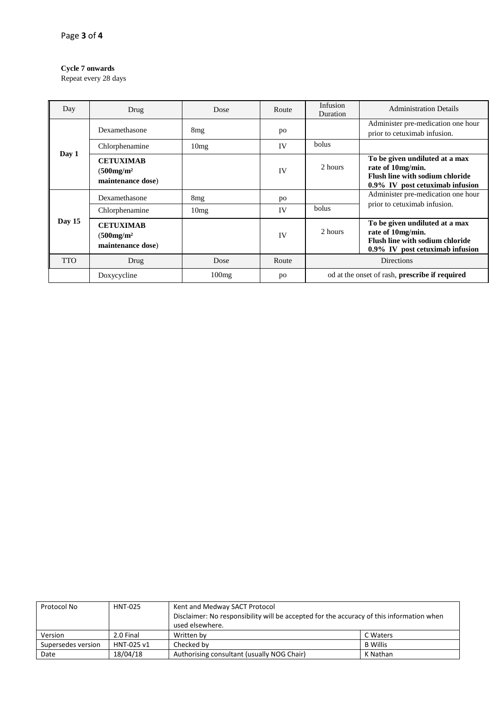### **Cycle 7 onwards**

Repeat every 28 days

| Day        | Drug                                                                   | Dose            | Route   | Infusion<br>Duration                                                                                                      | <b>Administration Details</b>                                                                                             |  |
|------------|------------------------------------------------------------------------|-----------------|---------|---------------------------------------------------------------------------------------------------------------------------|---------------------------------------------------------------------------------------------------------------------------|--|
|            | Dexamethasone                                                          | 8mg             | po      |                                                                                                                           | Administer pre-medication one hour<br>prior to cetuximab infusion.                                                        |  |
|            | Chlorphenamine                                                         | 10mg            | IV      | <b>bolus</b>                                                                                                              |                                                                                                                           |  |
| Day 1      | <b>CETUXIMAB</b><br>IV<br>(500mg/m <sup>2</sup> )<br>maintenance dose) |                 | 2 hours | To be given undiluted at a max<br>rate of 10mg/min.<br>Flush line with sodium chloride<br>0.9% IV post cetuximab infusion |                                                                                                                           |  |
| Day $15$   | Dexamethasone                                                          | 8 <sub>mg</sub> | po      |                                                                                                                           | Administer pre-medication one hour                                                                                        |  |
|            | Chlorphenamine                                                         | 10mg            | IV      | <b>bolus</b>                                                                                                              | prior to cetuximab infusion.                                                                                              |  |
|            | <b>CETUXIMAB</b><br>(500mg/m <sup>2</sup> )<br>maintenance dose)       |                 | IV      | 2 hours                                                                                                                   | To be given undiluted at a max<br>rate of 10mg/min.<br>Flush line with sodium chloride<br>0.9% IV post cetuximab infusion |  |
| <b>TTO</b> | Drug                                                                   | Dose            | Route   |                                                                                                                           | <b>Directions</b>                                                                                                         |  |
|            | Doxycycline                                                            | 100mg           | po      | od at the onset of rash, <b>prescribe if required</b>                                                                     |                                                                                                                           |  |

| Protocol No        | <b>HNT-025</b> | Kent and Medway SACT Protocol<br>Disclaimer: No responsibility will be accepted for the accuracy of this information when<br>used elsewhere. |                 |
|--------------------|----------------|----------------------------------------------------------------------------------------------------------------------------------------------|-----------------|
| Version            | 2.0 Final      | Written by<br>C Waters                                                                                                                       |                 |
| Supersedes version | HNT-025 v1     | Checked by                                                                                                                                   | <b>B</b> Willis |
| Date               | 18/04/18       | Authorising consultant (usually NOG Chair)                                                                                                   | K Nathan        |